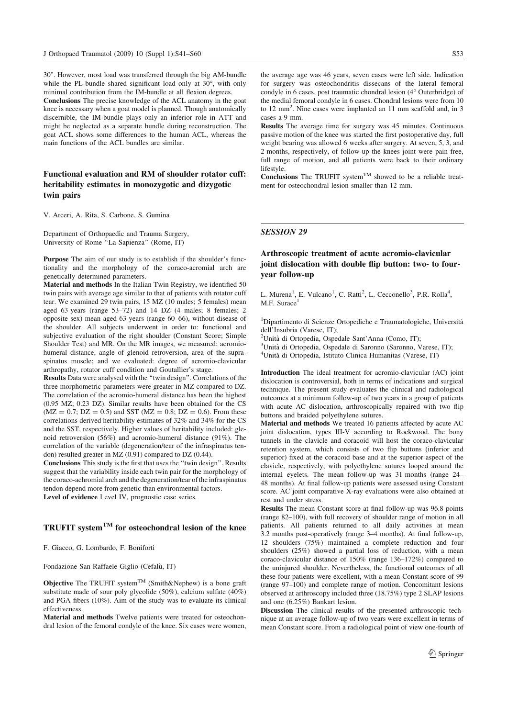30. However, most load was transferred through the big AM-bundle while the PL-bundle shared significant load only at  $30^{\circ}$ , with only minimal contribution from the IM-bundle at all flexion degrees.

Conclusions The precise knowledge of the ACL anatomy in the goat knee is necessary when a goat model is planned. Though anatomically discernible, the IM-bundle plays only an inferior role in ATT and might be neglected as a separate bundle during reconstruction. The goat ACL shows some differences to the human ACL, whereas the main functions of the ACL bundles are similar.

# Functional evaluation and RM of shoulder rotator cuff: heritability estimates in monozygotic and dizygotic twin pairs

V. Arceri, A. Rita, S. Carbone, S. Gumina

Department of Orthopaedic and Trauma Surgery, University of Rome ''La Sapienza'' (Rome, IT)

Purpose The aim of our study is to establish if the shoulder's functionality and the morphology of the coraco-acromial arch are genetically determined parameters.

Material and methods In the Italian Twin Registry, we identified 50 twin pairs with average age similar to that of patients with rotator cuff tear. We examined 29 twin pairs, 15 MZ (10 males; 5 females) mean aged 63 years (range 53–72) and 14 DZ (4 males; 8 females; 2 opposite sex) mean aged 63 years (range 60–66), without disease of the shoulder. All subjects underwent in order to: functional and subjective evaluation of the right shoulder (Constant Score; Simple Shoulder Test) and MR. On the MR images, we measured: acromiohumeral distance, angle of glenoid retroversion, area of the supraspinatus muscle; and we evaluated: degree of acromio-clavicular arthropathy, rotator cuff condition and Goutallier's stage.

Results Data were analysed with the ''twin design''. Correlations of the three morphometric parameters were greater in MZ compared to DZ. The correlation of the acromio-humeral distance has been the highest (0.95 MZ; 0.23 DZ). Similar results have been obtained for the CS  $(MZ = 0.7; DZ = 0.5)$  and SST  $(MZ = 0.8; DZ = 0.6)$ . From these correlations derived heritability estimates of 32% and 34% for the CS and the SST, respectively. Higher values of heritability included: glenoid retroversion (56%) and acromio-humeral distance (91%). The correlation of the variable (degeneration/tear of the infraspinatus tendon) resulted greater in MZ (0.91) compared to DZ (0.44).

Conclusions This study is the first that uses the ''twin design''. Results suggest that the variability inside each twin pair for the morphology of the coraco-achromial arch and the degeneration/tear of the infraspinatus tendon depend more from genetic than environmental factors. Level of evidence Level IV, prognostic case series.

# TRUFIT system<sup>TM</sup> for osteochondral lesion of the knee

F. Giacco, G. Lombardo, F. Boniforti

Fondazione San Raffaele Giglio (Cefalù, IT)

**Objective** The TRUFIT system<sup>TM</sup> (Smith&Nephew) is a bone graft substitute made of sour poly glycolide (50%), calcium sulfate (40%) and PGA fibers (10%). Aim of the study was to evaluate its clinical effectiveness.

Material and methods Twelve patients were treated for osteochondral lesion of the femoral condyle of the knee. Six cases were women, the average age was 46 years, seven cases were left side. Indication for surgery was osteochondritis dissecans of the lateral femoral condyle in 6 cases, post traumatic chondral lesion (4° Outerbridge) of the medial femoral condyle in 6 cases. Chondral lesions were from 10 to 12 mm<sup>2</sup>. Nine cases were implanted an 11 mm scaffold and, in 3 cases a 9 mm.

Results The average time for surgery was 45 minutes. Continuous passive motion of the knee was started the first postoperative day, full weight bearing was allowed 6 weeks after surgery. At seven, 5, 3, and 2 months, respectively, of follow-up the knees joint were pain free, full range of motion, and all patients were back to their ordinary lifestyle.

Conclusions The TRUFIT system<sup>TM</sup> showed to be a reliable treatment for osteochondral lesion smaller than 12 mm.

#### SESSION 29

## Arthroscopic treatment of acute acromio-clavicular joint dislocation with double flip button: two- to fouryear follow-up

L. Murena<sup>1</sup>, E. Vulcano<sup>1</sup>, C. Ratti<sup>2</sup>, L. Cecconello<sup>3</sup>, P.R. Rolla<sup>4</sup>, M.F. Surace<sup>1</sup>

<sup>1</sup>Dipartimento di Scienze Ortopediche e Traumatologiche, Universita` dell'Insubria (Varese, IT);

<sup>2</sup>Unità di Ortopedia, Ospedale Sant'Anna (Como, IT);

<sup>3</sup>Unità di Ortopedia, Ospedale di Saronno (Saronno, Varese, IT);

<sup>4</sup>Unità di Ortopedia, Istituto Clinica Humanitas (Varese, IT)

Introduction The ideal treatment for acromio-clavicular (AC) joint dislocation is controversial, both in terms of indications and surgical technique. The present study evaluates the clinical and radiological outcomes at a minimum follow-up of two years in a group of patients with acute AC dislocation, arthroscopically repaired with two flip buttons and braided polyethylene sutures.

Material and methods We treated 16 patients affected by acute AC joint dislocation, types III-V according to Rockwood. The bony tunnels in the clavicle and coracoid will host the coraco-clavicular retention system, which consists of two flip buttons (inferior and superior) fixed at the coracoid base and at the superior aspect of the clavicle, respectively, with polyethylene sutures looped around the internal eyelets. The mean follow-up was 31 months (range 24– 48 months). At final follow-up patients were assessed using Constant score. AC joint comparative X-ray evaluations were also obtained at rest and under stress.

Results The mean Constant score at final follow-up was 96.8 points (range 82–100), with full recovery of shoulder range of motion in all patients. All patients returned to all daily activities at mean 3.2 months post-operatively (range 3–4 months). At final follow-up, 12 shoulders (75%) maintained a complete reduction and four shoulders (25%) showed a partial loss of reduction, with a mean coraco-clavicular distance of 150% (range 136–172%) compared to the uninjured shoulder. Nevertheless, the functional outcomes of all these four patients were excellent, with a mean Constant score of 99 (range 97–100) and complete range of motion. Concomitant lesions observed at arthroscopy included three (18.75%) type 2 SLAP lesions and one (6.25%) Bankart lesion.

Discussion The clinical results of the presented arthroscopic technique at an average follow-up of two years were excellent in terms of mean Constant score. From a radiological point of view one-fourth of